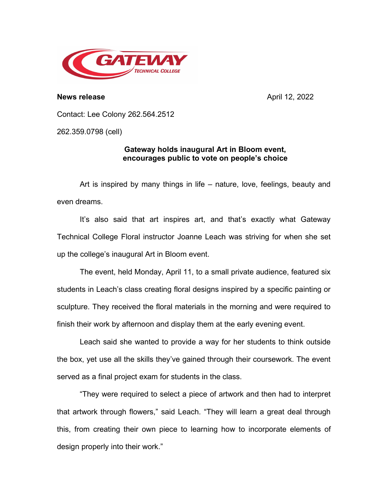

**News release** April 12, 2022

Contact: Lee Colony 262.564.2512

262.359.0798 (cell)

## **Gateway holds inaugural Art in Bloom event, encourages public to vote on people's choice**

Art is inspired by many things in life – nature, love, feelings, beauty and even dreams.

It's also said that art inspires art, and that's exactly what Gateway Technical College Floral instructor Joanne Leach was striving for when she set up the college's inaugural Art in Bloom event.

The event, held Monday, April 11, to a small private audience, featured six students in Leach's class creating floral designs inspired by a specific painting or sculpture. They received the floral materials in the morning and were required to finish their work by afternoon and display them at the early evening event.

Leach said she wanted to provide a way for her students to think outside the box, yet use all the skills they've gained through their coursework. The event served as a final project exam for students in the class.

"They were required to select a piece of artwork and then had to interpret that artwork through flowers," said Leach. "They will learn a great deal through this, from creating their own piece to learning how to incorporate elements of design properly into their work."